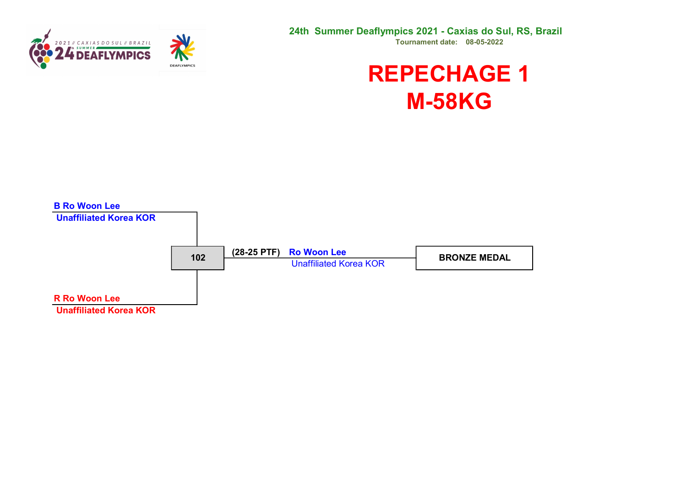



#### REPECHAGE 1 M-58KG

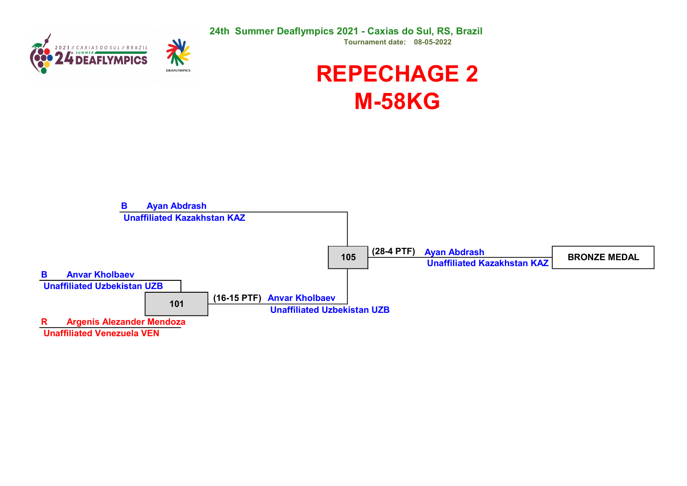SUMMER



24th Summer Deaflympics 2021 - Caxias do Sul, RS, Brazil Tournament date: 08-05-2022

## REPECHAGE 2 M-58KG

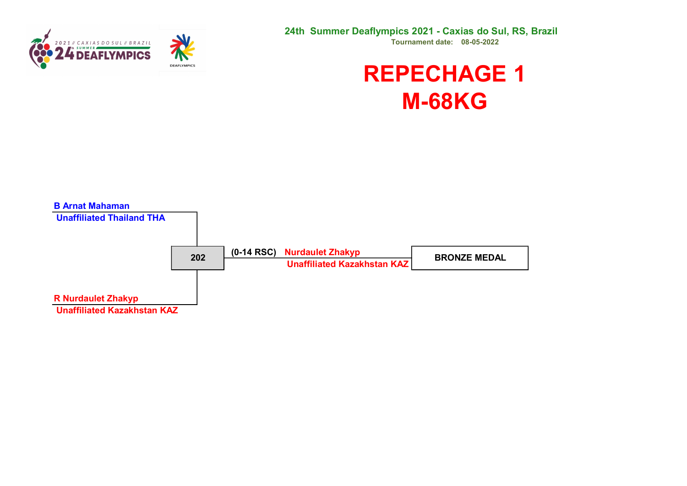

## REPECHAGE 1 M-68KG

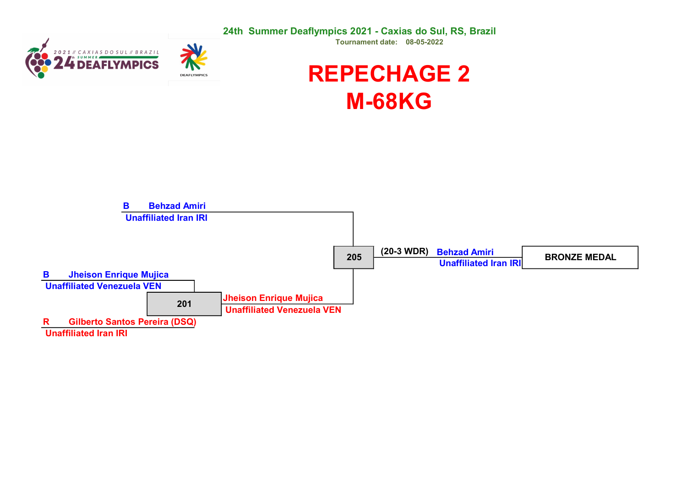24th Summer Deaflympics 2021 - Caxias do Sul, RS, Brazil





Tournament date: 08-05-2022

## REPECHAGE 2 M-68KG

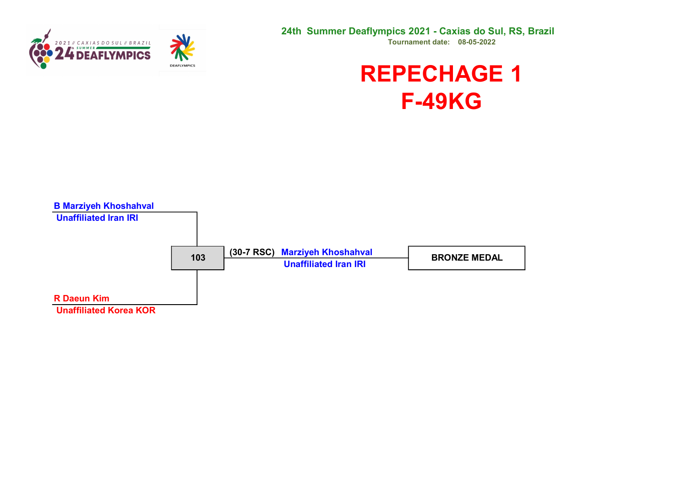

#### REPECHAGE 1 F-49KG

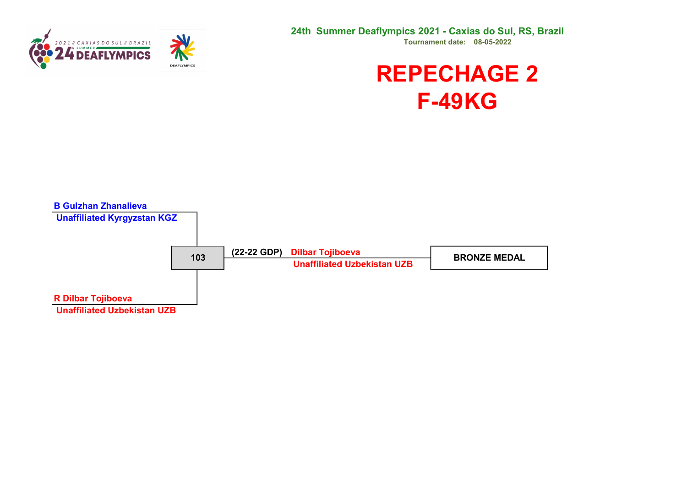

#### REPECHAGE 2 F-49KG

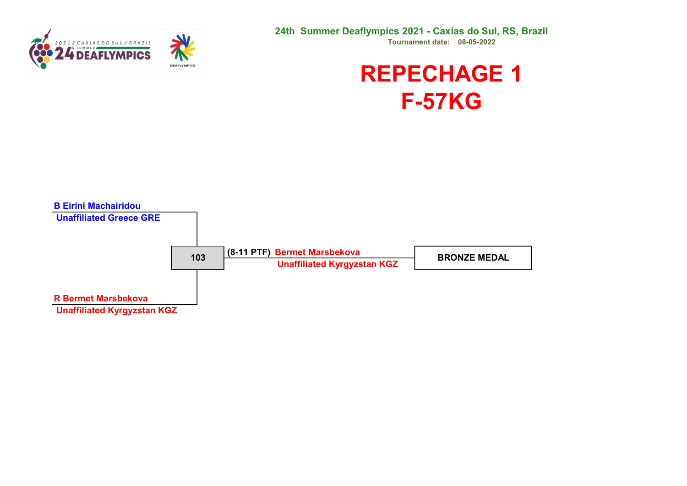



### REPECHAGE 1 F-57KG

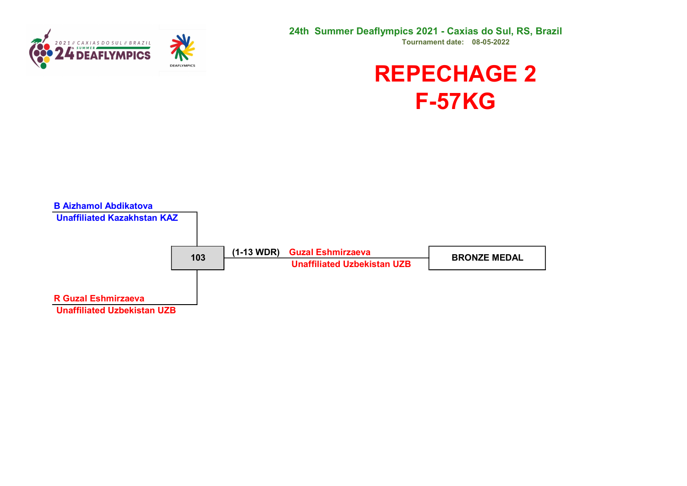

#### REPECHAGE 2 F-57KG

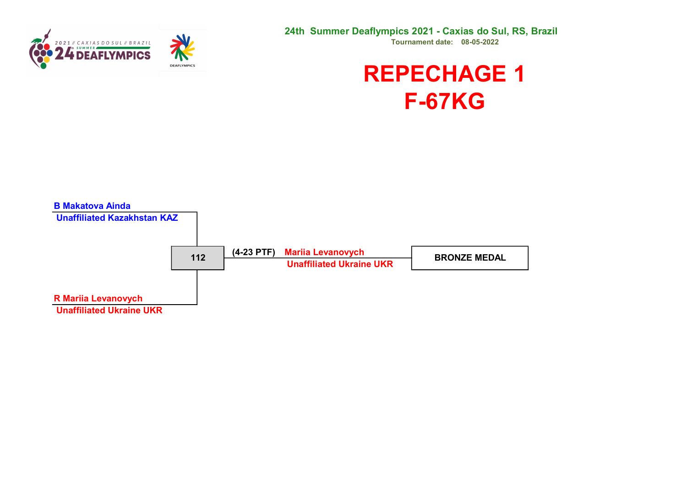



## REPECHAGE 1 F-67KG

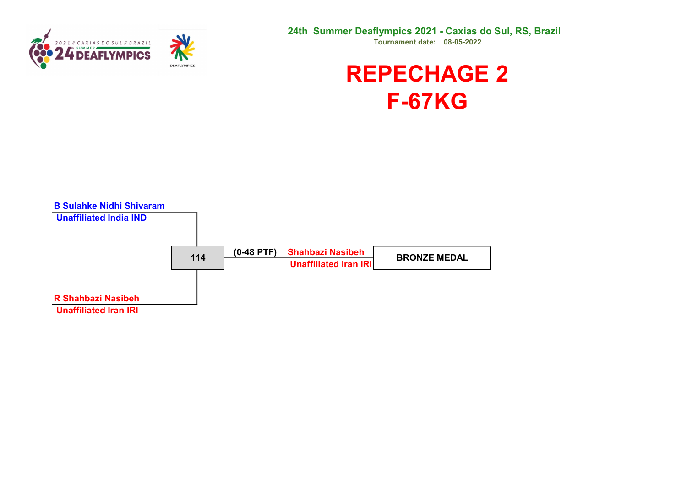

### REPECHAGE 2 F-67KG

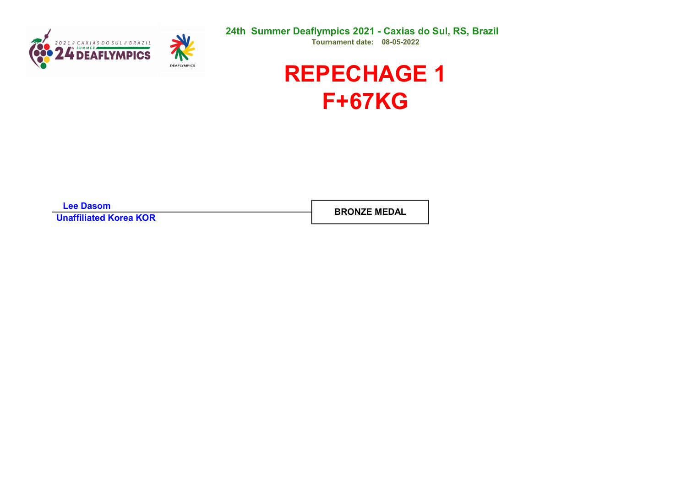



Lee Dasom Unaffiliated Korea KOR

BRONZE MEDAL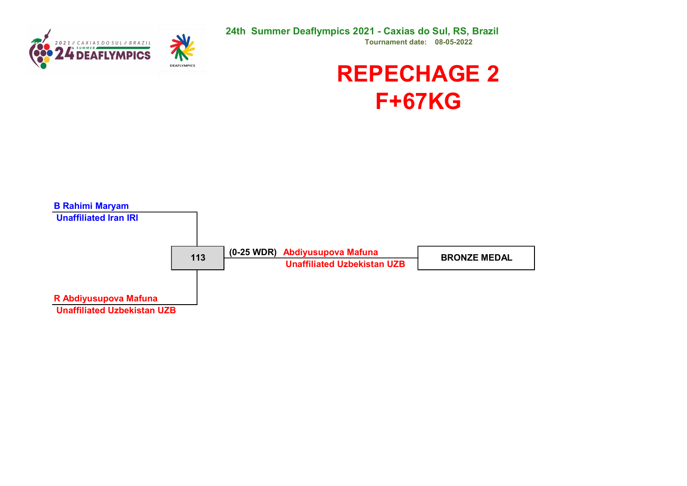

## REPECHAGE 2 F+67KG

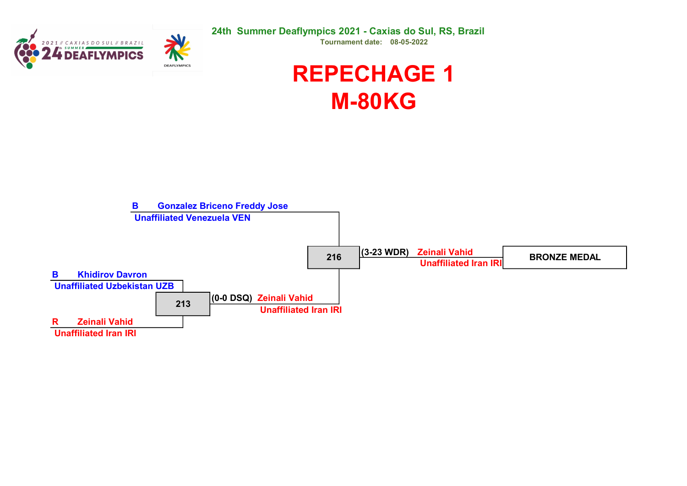



## REPECHAGE 1 M-80KG

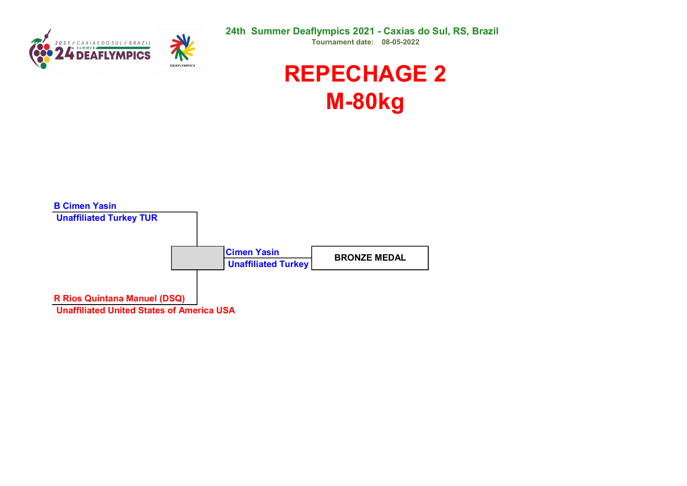



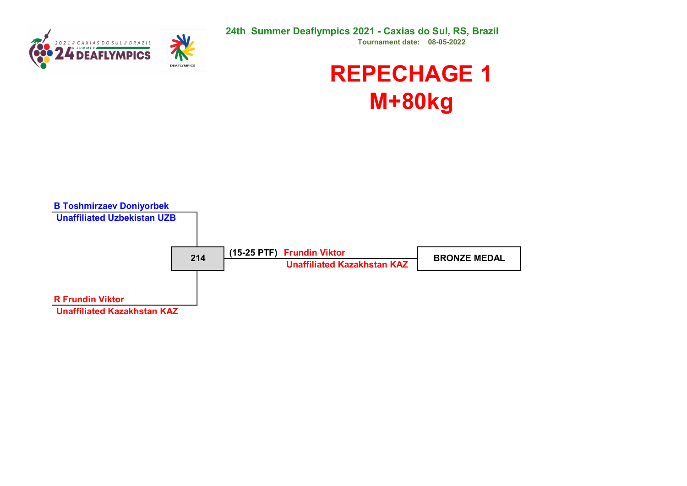

# REPECHAGE 1 M+80kg